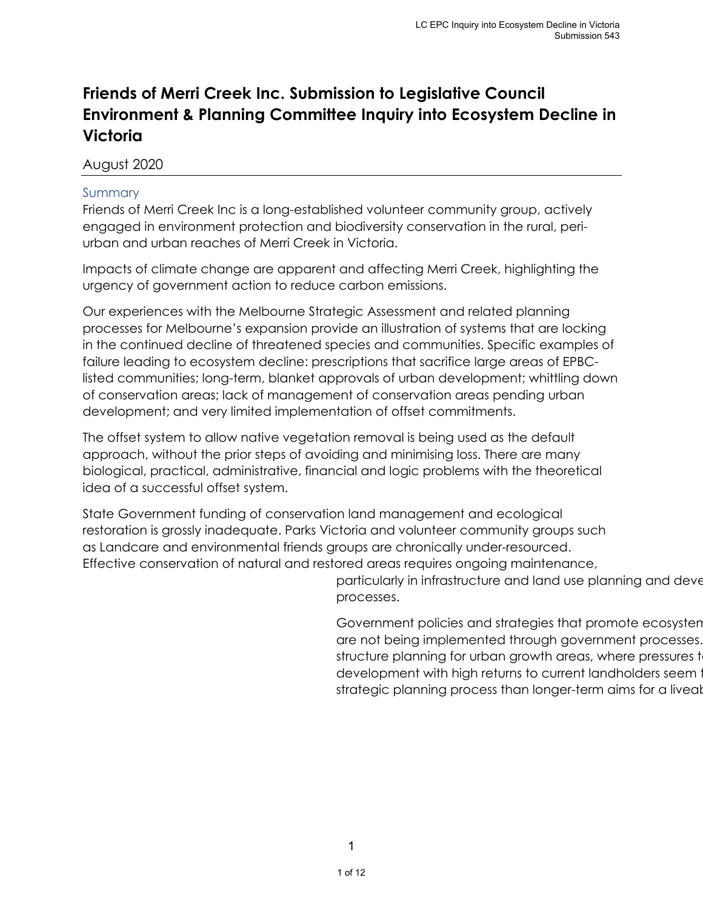# **Friends of Merri Creek Inc. Submission to Legislative Council Environment & Planning Committee Inquiry into Ecosystem Decline in Victoria**

#### August 2020

#### Summary

Friends of Merri Creek Inc is a long-established volunteer community group, actively engaged in environment protection and biodiversity conservation in the rural, periurban and urban reaches of Merri Creek in Victoria.

Impacts of climate change are apparent and affecting Merri Creek, highlighting the urgency of government action to reduce carbon emissions.

Our experiences with the Melbourne Strategic Assessment and related planning processes for Melbourne's expansion provide an illustration of systems that are locking in the continued decline of threatened species and communities. Specific examples of failure leading to ecosystem decline: prescriptions that sacrifice large areas of EPBClisted communities; long-term, blanket approvals of urban development; whittling down of conservation areas; lack of management of conservation areas pending urban development; and very limited implementation of offset commitments.

The offset system to allow native vegetation removal is being used as the default approach, without the prior steps of avoiding and minimising loss. There are many biological, practical, administrative, financial and logic problems with the theoretical idea of a successful offset system.

State Government funding of conservation land management and ecological restoration is grossly inadequate. Parks Victoria and volunteer community groups such as Landcare and environmental friends groups are chronically under-resourced. Effective conservation of natural and restored areas requires ongoing maintenance,

> particularly in infrastructure and land use planning and deve processes.

> Government policies and strategies that promote ecosystem are not being implemented through government processes. structure planning for urban growth areas, where pressures t development with high returns to current landholders seem to strategic planning process than longer-term aims for a liveal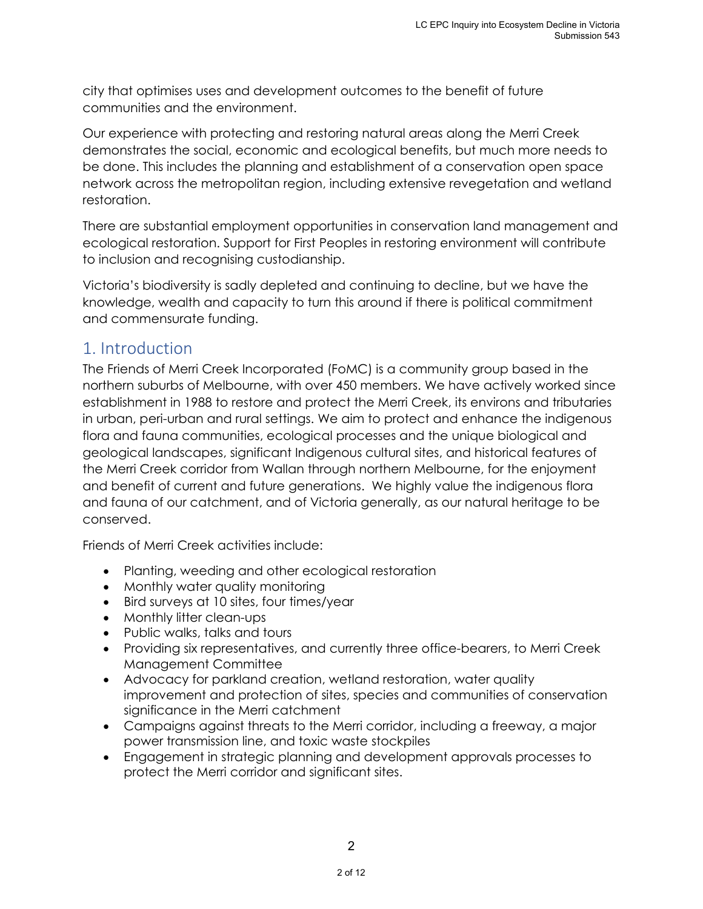city that optimises uses and development outcomes to the benefit of future communities and the environment.

Our experience with protecting and restoring natural areas along the Merri Creek demonstrates the social, economic and ecological benefits, but much more needs to be done. This includes the planning and establishment of a conservation open space network across the metropolitan region, including extensive revegetation and wetland restoration.

There are substantial employment opportunities in conservation land management and ecological restoration. Support for First Peoples in restoring environment will contribute to inclusion and recognising custodianship.

Victoria's biodiversity is sadly depleted and continuing to decline, but we have the knowledge, wealth and capacity to turn this around if there is political commitment and commensurate funding.

# 1. Introduction

The Friends of Merri Creek Incorporated (FoMC) is a community group based in the northern suburbs of Melbourne, with over 450 members. We have actively worked since establishment in 1988 to restore and protect the Merri Creek, its environs and tributaries in urban, peri-urban and rural settings. We aim to protect and enhance the indigenous flora and fauna communities, ecological processes and the unique biological and geological landscapes, significant Indigenous cultural sites, and historical features of the Merri Creek corridor from Wallan through northern Melbourne, for the enjoyment and benefit of current and future generations. We highly value the indigenous flora and fauna of our catchment, and of Victoria generally, as our natural heritage to be conserved.

Friends of Merri Creek activities include:

- Planting, weeding and other ecological restoration
- Monthly water quality monitoring
- Bird surveys at 10 sites, four times/year
- Monthly litter clean-ups
- Public walks, talks and tours
- Providing six representatives, and currently three office-bearers, to Merri Creek Management Committee
- Advocacy for parkland creation, wetland restoration, water quality improvement and protection of sites, species and communities of conservation significance in the Merri catchment
- Campaigns against threats to the Merri corridor, including a freeway, a major power transmission line, and toxic waste stockpiles
- Engagement in strategic planning and development approvals processes to protect the Merri corridor and significant sites.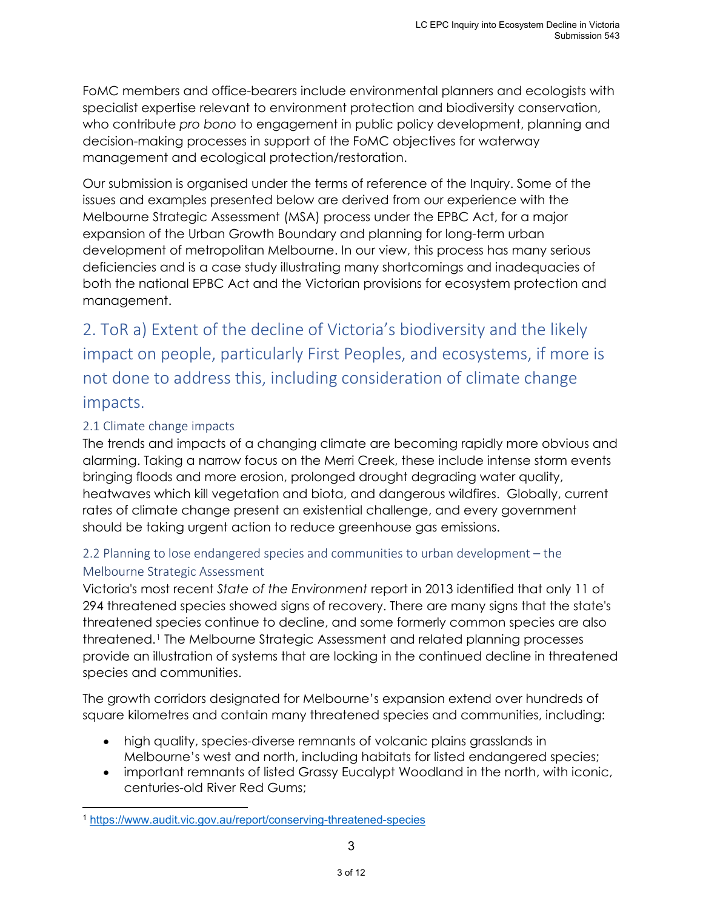FoMC members and office-bearers include environmental planners and ecologists with specialist expertise relevant to environment protection and biodiversity conservation, who contribute *pro bono* to engagement in public policy development, planning and decision-making processes in support of the FoMC objectives for waterway management and ecological protection/restoration.

Our submission is organised under the terms of reference of the Inquiry. Some of the issues and examples presented below are derived from our experience with the Melbourne Strategic Assessment (MSA) process under the EPBC Act, for a major expansion of the Urban Growth Boundary and planning for long-term urban development of metropolitan Melbourne. In our view, this process has many serious deficiencies and is a case study illustrating many shortcomings and inadequacies of both the national EPBC Act and the Victorian provisions for ecosystem protection and management.

2. ToR a) Extent of the decline of Victoria's biodiversity and the likely impact on people, particularly First Peoples, and ecosystems, if more is not done to address this, including consideration of climate change impacts.

## 2.1 Climate change impacts

 $\ddot{\phantom{a}}$ 

The trends and impacts of a changing climate are becoming rapidly more obvious and alarming. Taking a narrow focus on the Merri Creek, these include intense storm events bringing floods and more erosion, prolonged drought degrading water quality, heatwaves which kill vegetation and biota, and dangerous wildfires. Globally, current rates of climate change present an existential challenge, and every government should be taking urgent action to reduce greenhouse gas emissions.

## 2.2 Planning to lose endangered species and communities to urban development – the Melbourne Strategic Assessment

Victoria's most recent *State of the Environment* report in 2013 identified that only 11 of 294 threatened species showed signs of recovery. There are many signs that the state's threatened species continue to decline, and some formerly common species are also threatened.1 The Melbourne Strategic Assessment and related planning processes provide an illustration of systems that are locking in the continued decline in threatened species and communities.

The growth corridors designated for Melbourne's expansion extend over hundreds of square kilometres and contain many threatened species and communities, including:

- high quality, species-diverse remnants of volcanic plains grasslands in Melbourne's west and north, including habitats for listed endangered species;
- important remnants of listed Grassy Eucalypt Woodland in the north, with iconic, centuries-old River Red Gums;

<sup>1</sup> https://www.audit.vic.gov.au/report/conserving-threatened-species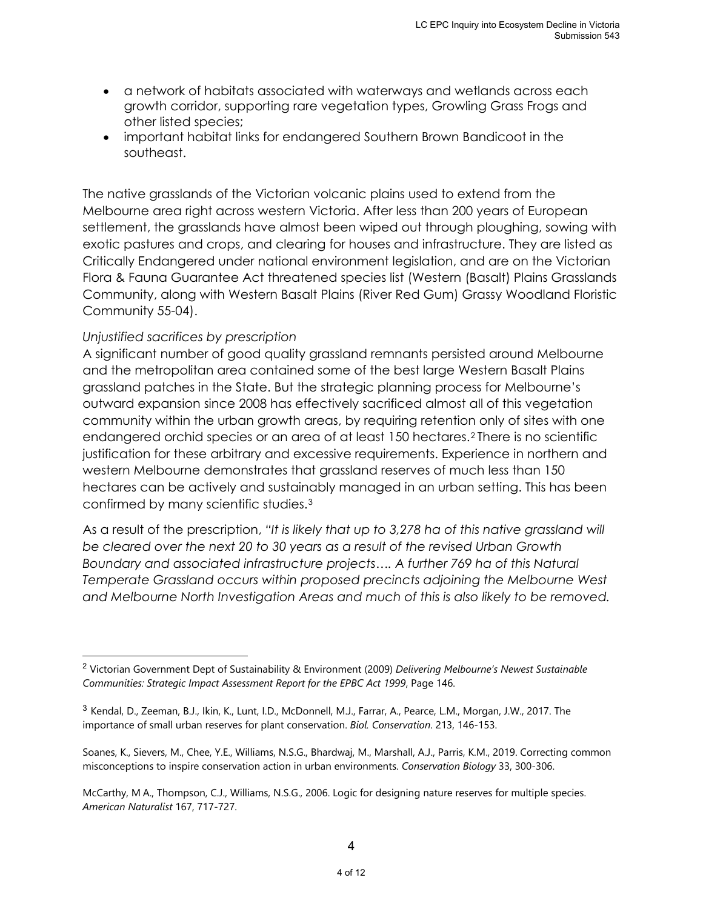- a network of habitats associated with waterways and wetlands across each growth corridor, supporting rare vegetation types, Growling Grass Frogs and other listed species;
- important habitat links for endangered Southern Brown Bandicoot in the southeast.

The native grasslands of the Victorian volcanic plains used to extend from the Melbourne area right across western Victoria. After less than 200 years of European settlement, the grasslands have almost been wiped out through ploughing, sowing with exotic pastures and crops, and clearing for houses and infrastructure. They are listed as Critically Endangered under national environment legislation, and are on the Victorian Flora & Fauna Guarantee Act threatened species list (Western (Basalt) Plains Grasslands Community, along with Western Basalt Plains (River Red Gum) Grassy Woodland Floristic Community 55-04).

#### *Unjustified sacrifices by prescription*

 $\overline{a}$ 

A significant number of good quality grassland remnants persisted around Melbourne and the metropolitan area contained some of the best large Western Basalt Plains grassland patches in the State. But the strategic planning process for Melbourne's outward expansion since 2008 has effectively sacrificed almost all of this vegetation community within the urban growth areas, by requiring retention only of sites with one endangered orchid species or an area of at least 150 hectares.2 There is no scientific justification for these arbitrary and excessive requirements. Experience in northern and western Melbourne demonstrates that grassland reserves of much less than 150 hectares can be actively and sustainably managed in an urban setting. This has been confirmed by many scientific studies.3

As a result of the prescription, *"It is likely that up to 3,278 ha of this native grassland will be cleared over the next 20 to 30 years as a result of the revised Urban Growth Boundary and associated infrastructure projects…. A further 769 ha of this Natural Temperate Grassland occurs within proposed precincts adjoining the Melbourne West and Melbourne North Investigation Areas and much of this is also likely to be removed.* 

<sup>2</sup> Victorian Government Dept of Sustainability & Environment (2009) *Delivering Melbourne's Newest Sustainable Communities: Strategic Impact Assessment Report for the EPBC Act 1999*, Page 146.

<sup>3</sup> Kendal, D., Zeeman, B.J., Ikin, K., Lunt, I.D., McDonnell, M.J., Farrar, A., Pearce, L.M., Morgan, J.W., 2017. The importance of small urban reserves for plant conservation. *Biol. Conservation*. 213, 146-153.

Soanes, K., Sievers, M., Chee, Y.E., Williams, N.S.G., Bhardwaj, M., Marshall, A.J., Parris, K.M., 2019. Correcting common misconceptions to inspire conservation action in urban environments. *Conservation Biology* 33, 300-306.

McCarthy, M A., Thompson, C.J., Williams, N.S.G., 2006. Logic for designing nature reserves for multiple species. *American Naturalist* 167, 717-727.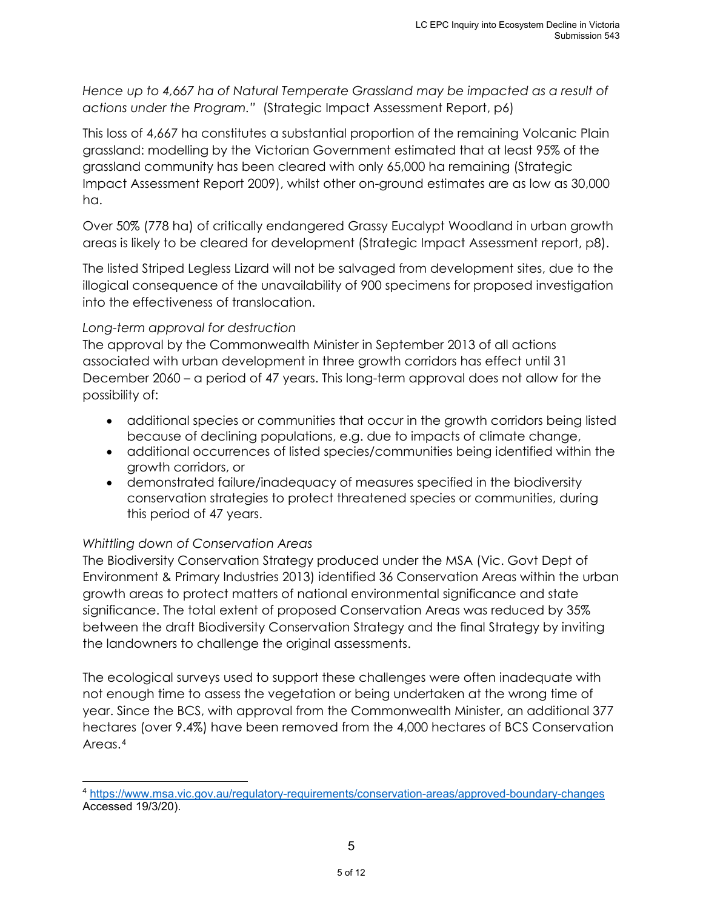*Hence up to 4,667 ha of Natural Temperate Grassland may be impacted as a result of actions under the Program."* (Strategic Impact Assessment Report, p6)

This loss of 4,667 ha constitutes a substantial proportion of the remaining Volcanic Plain grassland: modelling by the Victorian Government estimated that at least 95% of the grassland community has been cleared with only 65,000 ha remaining (Strategic Impact Assessment Report 2009), whilst other on-ground estimates are as low as 30,000 ha.

Over 50% (778 ha) of critically endangered Grassy Eucalypt Woodland in urban growth areas is likely to be cleared for development (Strategic Impact Assessment report, p8).

The listed Striped Legless Lizard will not be salvaged from development sites, due to the illogical consequence of the unavailability of 900 specimens for proposed investigation into the effectiveness of translocation.

#### *Long-term approval for destruction*

The approval by the Commonwealth Minister in September 2013 of all actions associated with urban development in three growth corridors has effect until 31 December 2060 – a period of 47 years. This long-term approval does not allow for the possibility of:

- additional species or communities that occur in the growth corridors being listed because of declining populations, e.g. due to impacts of climate change,
- additional occurrences of listed species/communities being identified within the growth corridors, or
- demonstrated failure/inadequacy of measures specified in the biodiversity conservation strategies to protect threatened species or communities, during this period of 47 years.

#### *Whittling down of Conservation Areas*

The Biodiversity Conservation Strategy produced under the MSA (Vic. Govt Dept of Environment & Primary Industries 2013) identified 36 Conservation Areas within the urban growth areas to protect matters of national environmental significance and state significance. The total extent of proposed Conservation Areas was reduced by 35% between the draft Biodiversity Conservation Strategy and the final Strategy by inviting the landowners to challenge the original assessments.

The ecological surveys used to support these challenges were often inadequate with not enough time to assess the vegetation or being undertaken at the wrong time of year. Since the BCS, with approval from the Commonwealth Minister, an additional 377 hectares (over 9.4%) have been removed from the 4,000 hectares of BCS Conservation Areas.4

 $\overline{a}$ <sup>4</sup> https://www.msa.vic.gov.au/regulatory-requirements/conservation-areas/approved-boundary-changes Accessed 19/3/20).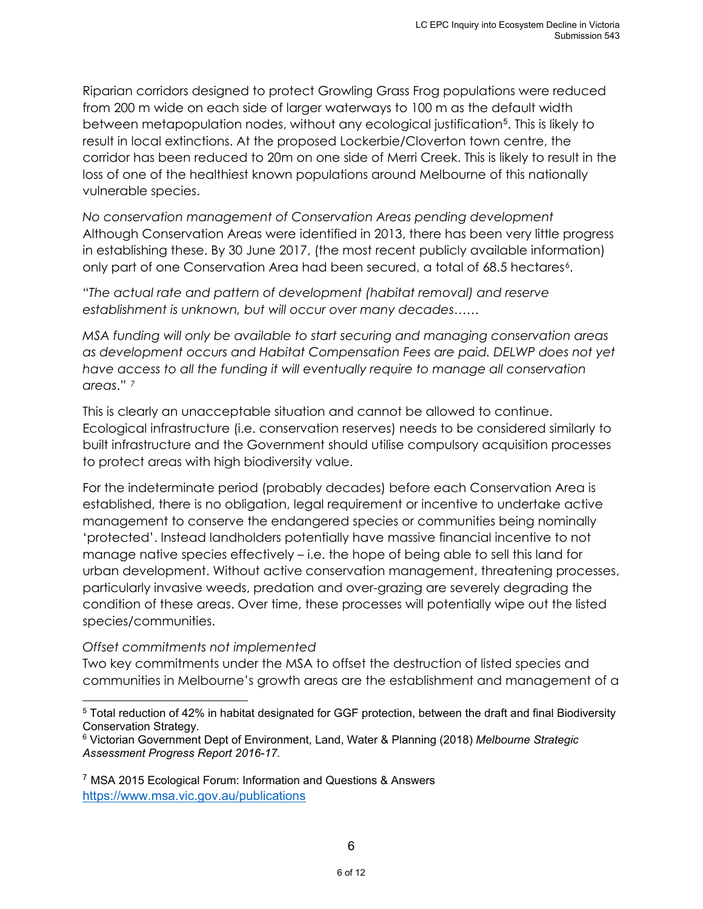Riparian corridors designed to protect Growling Grass Frog populations were reduced from 200 m wide on each side of larger waterways to 100 m as the default width between metapopulation nodes, without any ecological justification<sup>5</sup>. This is likely to result in local extinctions. At the proposed Lockerbie/Cloverton town centre, the corridor has been reduced to 20m on one side of Merri Creek. This is likely to result in the loss of one of the healthiest known populations around Melbourne of this nationally vulnerable species.

*No conservation management of Conservation Areas pending development* Although Conservation Areas were identified in 2013, there has been very little progress in establishing these. By 30 June 2017, (the most recent publicly available information) only part of one Conservation Area had been secured, a total of 68.5 hectares<sup>6</sup>.

"*The actual rate and pattern of development (habitat removal) and reserve establishment is unknown, but will occur over many decades……*

*MSA funding will only be available to start securing and managing conservation areas as development occurs and Habitat Compensation Fees are paid. DELWP does not yet have access to all the funding it will eventually require to manage all conservation areas*." 7

This is clearly an unacceptable situation and cannot be allowed to continue. Ecological infrastructure (i.e. conservation reserves) needs to be considered similarly to built infrastructure and the Government should utilise compulsory acquisition processes to protect areas with high biodiversity value.

For the indeterminate period (probably decades) before each Conservation Area is established, there is no obligation, legal requirement or incentive to undertake active management to conserve the endangered species or communities being nominally 'protected'. Instead landholders potentially have massive financial incentive to not manage native species effectively – i.e. the hope of being able to sell this land for urban development. Without active conservation management, threatening processes, particularly invasive weeds, predation and over-grazing are severely degrading the condition of these areas. Over time, these processes will potentially wipe out the listed species/communities.

#### *Offset commitments not implemented*

Two key commitments under the MSA to offset the destruction of listed species and communities in Melbourne's growth areas are the establishment and management of a

 $\overline{a}$ <sup>5</sup> Total reduction of 42% in habitat designated for GGF protection, between the draft and final Biodiversity Conservation Strategy.

<sup>6</sup> Victorian Government Dept of Environment, Land, Water & Planning (2018) *Melbourne Strategic Assessment Progress Report 2016-17.*

<sup>7</sup> MSA 2015 Ecological Forum: Information and Questions & Answers https://www.msa.vic.gov.au/publications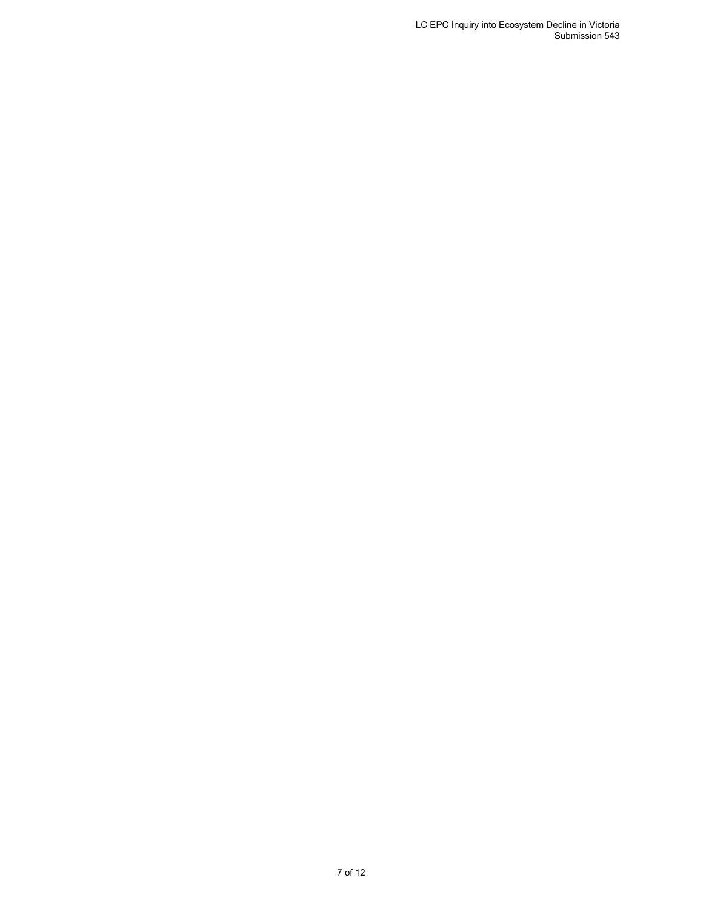LC EPC Inquiry into Ecosystem Decline in Victoria Submission 543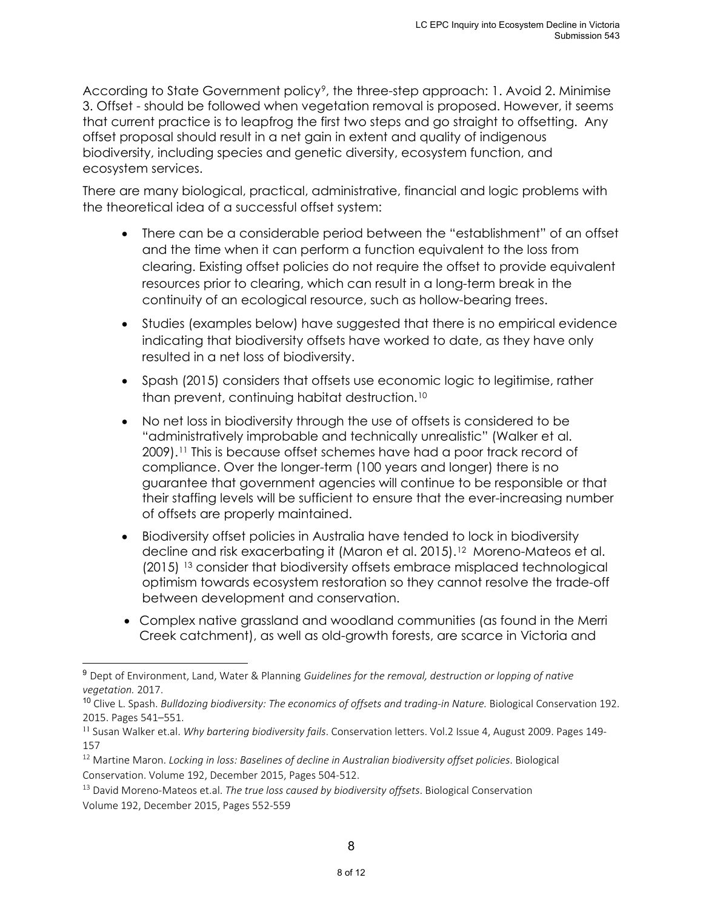According to State Government policy<sup>9</sup>, the three-step approach: 1. Avoid 2. Minimise 3. Offset - should be followed when vegetation removal is proposed. However, it seems that current practice is to leapfrog the first two steps and go straight to offsetting. Any offset proposal should result in a net gain in extent and quality of indigenous biodiversity, including species and genetic diversity, ecosystem function, and ecosystem services.

There are many biological, practical, administrative, financial and logic problems with the theoretical idea of a successful offset system:

- There can be a considerable period between the "establishment" of an offset and the time when it can perform a function equivalent to the loss from clearing. Existing offset policies do not require the offset to provide equivalent resources prior to clearing, which can result in a long-term break in the continuity of an ecological resource, such as hollow-bearing trees.
- Studies (examples below) have suggested that there is no empirical evidence indicating that biodiversity offsets have worked to date, as they have only resulted in a net loss of biodiversity.
- Spash (2015) considers that offsets use economic logic to legitimise, rather than prevent, continuing habitat destruction.10
- No net loss in biodiversity through the use of offsets is considered to be "administratively improbable and technically unrealistic" (Walker et al. 2009).11 This is because offset schemes have had a poor track record of compliance. Over the longer-term (100 years and longer) there is no guarantee that government agencies will continue to be responsible or that their staffing levels will be sufficient to ensure that the ever-increasing number of offsets are properly maintained.
- Biodiversity offset policies in Australia have tended to lock in biodiversity decline and risk exacerbating it (Maron et al. 2015).12 Moreno-Mateos et al. (2015) 13 consider that biodiversity offsets embrace misplaced technological optimism towards ecosystem restoration so they cannot resolve the trade-off between development and conservation.
- Complex native grassland and woodland communities (as found in the Merri Creek catchment), as well as old-growth forests, are scarce in Victoria and

 $\overline{a}$ <sup>9</sup> Dept of Environment, Land, Water & Planning *Guidelines for the removal, destruction or lopping of native vegetation.* 2017.

<sup>10</sup> Clive L. Spash. *Bulldozing biodiversity: The economics of offsets and trading-in Nature.* Biological Conservation 192. 2015. Pages 541–551.

<sup>11</sup> Susan Walker et.al. *Why bartering biodiversity fails*. Conservation letters. Vol.2 Issue 4, August 2009. Pages 149- 157

<sup>12</sup> Martine Maron. *Locking in loss: Baselines of decline in Australian biodiversity offset policies*. Biological Conservation. Volume 192, December 2015, Pages 504-512.<br><sup>13</sup> David Moreno-Mateos et.al. *The true loss caused by biodiversity offsets*. Biological Conservation

Volume 192, December 2015, Pages 552-559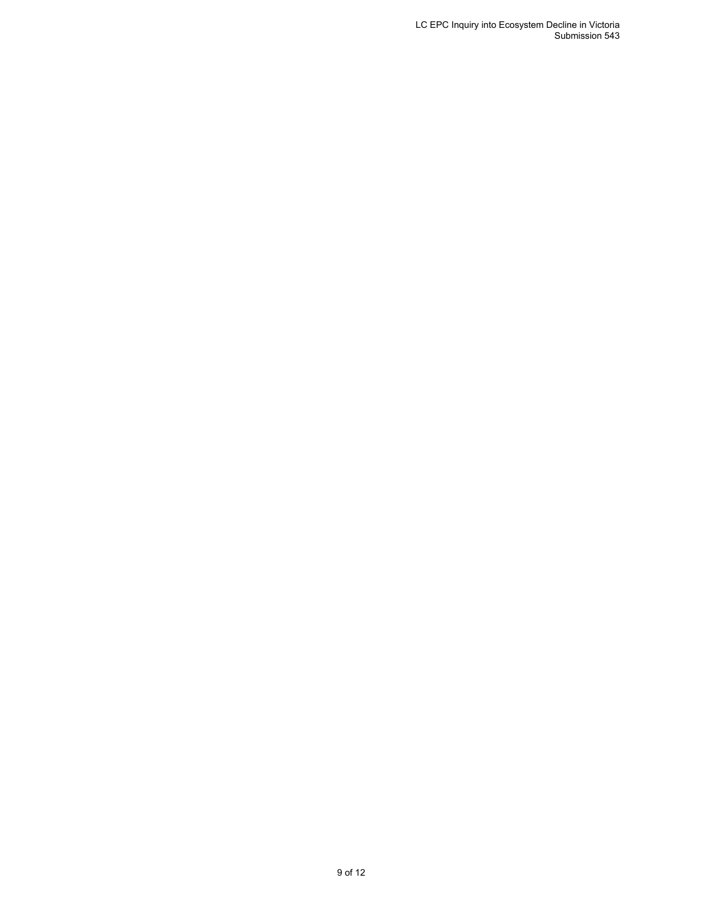LC EPC Inquiry into Ecosystem Decline in Victoria Submission 543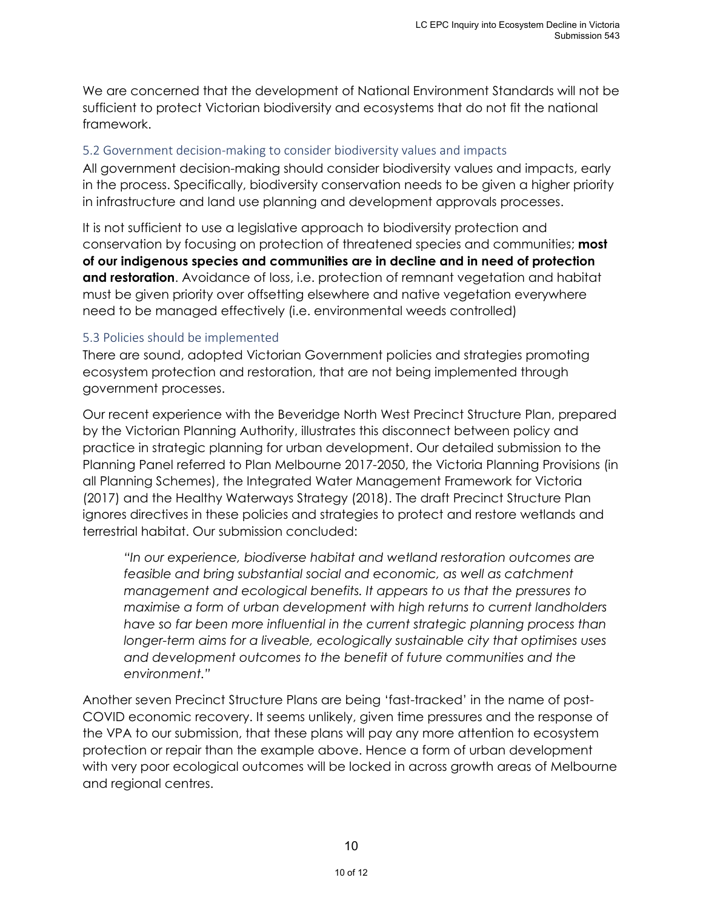We are concerned that the development of National Environment Standards will not be sufficient to protect Victorian biodiversity and ecosystems that do not fit the national framework.

#### 5.2 Government decision-making to consider biodiversity values and impacts

All government decision-making should consider biodiversity values and impacts, early in the process. Specifically, biodiversity conservation needs to be given a higher priority in infrastructure and land use planning and development approvals processes.

It is not sufficient to use a legislative approach to biodiversity protection and conservation by focusing on protection of threatened species and communities; **most of our indigenous species and communities are in decline and in need of protection and restoration**. Avoidance of loss, i.e. protection of remnant vegetation and habitat must be given priority over offsetting elsewhere and native vegetation everywhere need to be managed effectively (i.e. environmental weeds controlled)

#### 5.3 Policies should be implemented

There are sound, adopted Victorian Government policies and strategies promoting ecosystem protection and restoration, that are not being implemented through government processes.

Our recent experience with the Beveridge North West Precinct Structure Plan, prepared by the Victorian Planning Authority, illustrates this disconnect between policy and practice in strategic planning for urban development. Our detailed submission to the Planning Panel referred to Plan Melbourne 2017-2050, the Victoria Planning Provisions (in all Planning Schemes), the Integrated Water Management Framework for Victoria (2017) and the Healthy Waterways Strategy (2018). The draft Precinct Structure Plan ignores directives in these policies and strategies to protect and restore wetlands and terrestrial habitat. Our submission concluded:

*"In our experience, biodiverse habitat and wetland restoration outcomes are feasible and bring substantial social and economic, as well as catchment management and ecological benefits. It appears to us that the pressures to maximise a form of urban development with high returns to current landholders have so far been more influential in the current strategic planning process than longer-term aims for a liveable, ecologically sustainable city that optimises uses and development outcomes to the benefit of future communities and the environment."*

Another seven Precinct Structure Plans are being 'fast-tracked' in the name of post-COVID economic recovery. It seems unlikely, given time pressures and the response of the VPA to our submission, that these plans will pay any more attention to ecosystem protection or repair than the example above. Hence a form of urban development with very poor ecological outcomes will be locked in across growth areas of Melbourne and regional centres.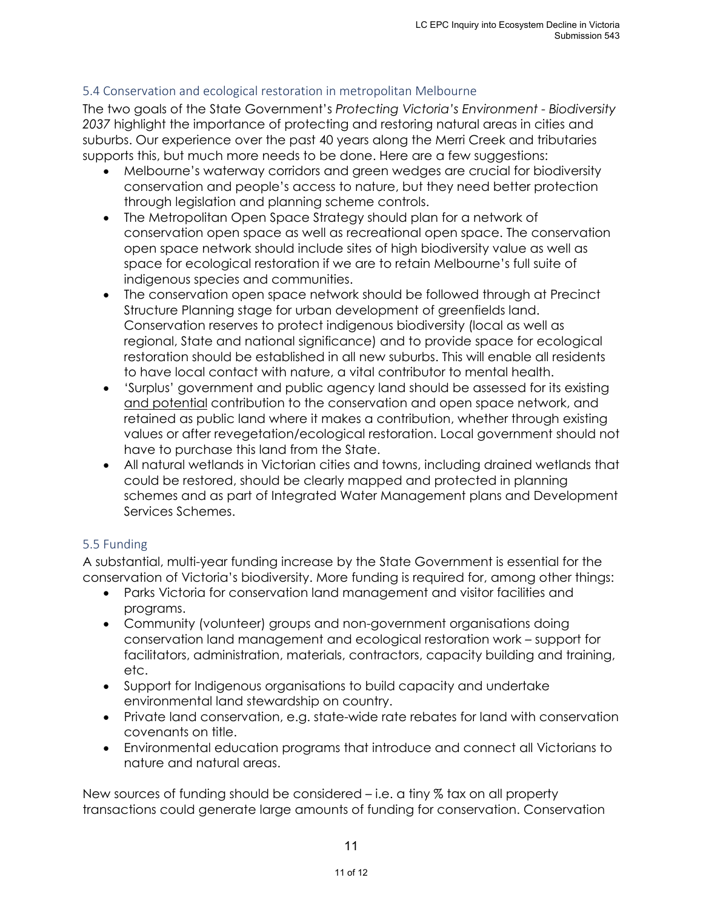#### 5.4 Conservation and ecological restoration in metropolitan Melbourne

The two goals of the State Government's *Protecting Victoria's Environment - Biodiversity 2037* highlight the importance of protecting and restoring natural areas in cities and suburbs. Our experience over the past 40 years along the Merri Creek and tributaries supports this, but much more needs to be done. Here are a few suggestions:

- Melbourne's waterway corridors and green wedges are crucial for biodiversity conservation and people's access to nature, but they need better protection through legislation and planning scheme controls.
- The Metropolitan Open Space Strategy should plan for a network of conservation open space as well as recreational open space. The conservation open space network should include sites of high biodiversity value as well as space for ecological restoration if we are to retain Melbourne's full suite of indigenous species and communities.
- The conservation open space network should be followed through at Precinct Structure Planning stage for urban development of greenfields land. Conservation reserves to protect indigenous biodiversity (local as well as regional, State and national significance) and to provide space for ecological restoration should be established in all new suburbs. This will enable all residents to have local contact with nature, a vital contributor to mental health.
- 'Surplus' government and public agency land should be assessed for its existing and potential contribution to the conservation and open space network, and retained as public land where it makes a contribution, whether through existing values or after revegetation/ecological restoration. Local government should not have to purchase this land from the State.
- All natural wetlands in Victorian cities and towns, including drained wetlands that could be restored, should be clearly mapped and protected in planning schemes and as part of Integrated Water Management plans and Development Services Schemes.

#### 5.5 Funding

A substantial, multi-year funding increase by the State Government is essential for the conservation of Victoria's biodiversity. More funding is required for, among other things:

- Parks Victoria for conservation land management and visitor facilities and programs.
- Community (volunteer) groups and non-government organisations doing conservation land management and ecological restoration work – support for facilitators, administration, materials, contractors, capacity building and training, etc.
- Support for Indigenous organisations to build capacity and undertake environmental land stewardship on country.
- Private land conservation, e.g. state-wide rate rebates for land with conservation covenants on title.
- Environmental education programs that introduce and connect all Victorians to nature and natural areas.

New sources of funding should be considered – i.e. a tiny % tax on all property transactions could generate large amounts of funding for conservation. Conservation